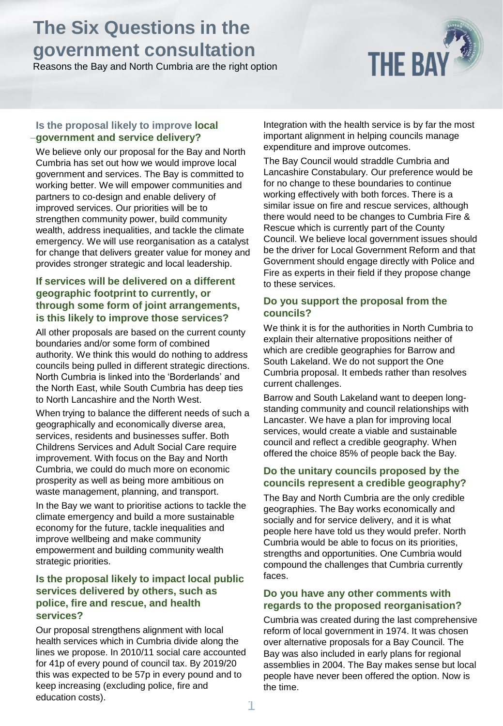# **The Six Questions in the government consultation**

Reasons the Bay and North Cumbria are the right option



#### **Is the proposal likely to improve local government and service delivery?**

We believe only our proposal for the Bay and North Cumbria has set out how we would improve local government and services. The Bay is committed to working better. We will empower communities and partners to co-design and enable delivery of improved services. Our priorities will be to strengthen community power, build community wealth, address inequalities, and tackle the climate emergency. We will use reorganisation as a catalyst for change that delivers greater value for money and provides stronger strategic and local leadership.

#### **If services will be delivered on a different geographic footprint to currently, or through some form of joint arrangements, is this likely to improve those services?**

All other proposals are based on the current county boundaries and/or some form of combined authority. We think this would do nothing to address councils being pulled in different strategic directions. North Cumbria is linked into the 'Borderlands' and the North East, while South Cumbria has deep ties to North Lancashire and the North West.

When trying to balance the different needs of such a geographically and economically diverse area, services, residents and businesses suffer. Both Childrens Services and Adult Social Care require improvement. With focus on the Bay and North Cumbria, we could do much more on economic prosperity as well as being more ambitious on waste management, planning, and transport.

In the Bay we want to prioritise actions to tackle the climate emergency and build a more sustainable economy for the future, tackle inequalities and improve wellbeing and make community empowerment and building community wealth strategic priorities.

#### **Is the proposal likely to impact local public services delivered by others, such as police, fire and rescue, and health services?**

Our proposal strengthens alignment with local health services which in Cumbria divide along the lines we propose. In 2010/11 social care accounted for 41p of every pound of council tax. By 2019/20 this was expected to be 57p in every pound and to keep increasing (excluding police, fire and education costs).

Integration with the health service is by far the most important alignment in helping councils manage expenditure and improve outcomes.

The Bay Council would straddle Cumbria and Lancashire Constabulary. Our preference would be for no change to these boundaries to continue working effectively with both forces. There is a similar issue on fire and rescue services, although there would need to be changes to Cumbria Fire & Rescue which is currently part of the County Council. We believe local government issues should be the driver for Local Government Reform and that Government should engage directly with Police and Fire as experts in their field if they propose change to these services.

#### **Do you support the proposal from the councils?**

We think it is for the authorities in North Cumbria to explain their alternative propositions neither of which are credible geographies for Barrow and South Lakeland. We do not support the One Cumbria proposal. It embeds rather than resolves current challenges.

Barrow and South Lakeland want to deepen longstanding community and council relationships with Lancaster. We have a plan for improving local services, would create a viable and sustainable council and reflect a credible geography. When offered the choice 85% of people back the Bay.

#### **Do the unitary councils proposed by the councils represent a credible geography?**

The Bay and North Cumbria are the only credible geographies. The Bay works economically and socially and for service delivery, and it is what people here have told us they would prefer. North Cumbria would be able to focus on its priorities, strengths and opportunities. One Cumbria would compound the challenges that Cumbria currently faces.

#### **Do you have any other comments with regards to the proposed reorganisation?**

Cumbria was created during the last comprehensive reform of local government in 1974. It was chosen over alternative proposals for a Bay Council. The Bay was also included in early plans for regional assemblies in 2004. The Bay makes sense but local people have never been offered the option. Now is the time.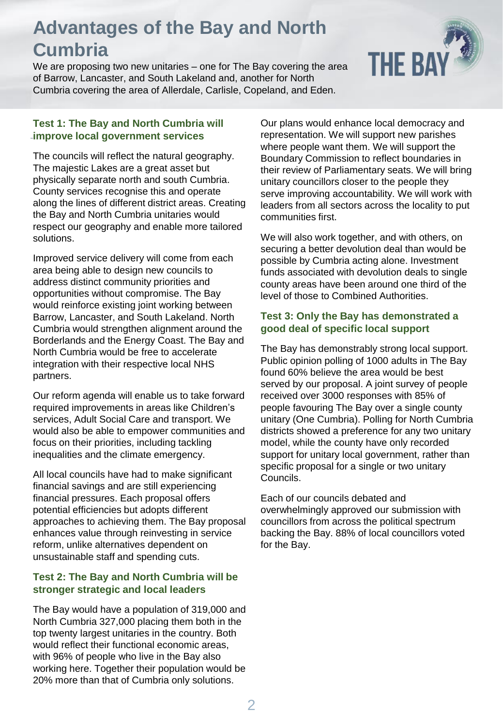# **Advantages of the Bay and North Cumbria**

We are proposing two new unitaries – one for The Bay covering the area of Barrow, Lancaster, and South Lakeland and, another for North Cumbria covering the area of Allerdale, Carlisle, Copeland, and Eden.

# **THE BAY**

## **Test 1: The Bay and North Cumbria will improve local government services**

The councils will reflect the natural geography. The majestic Lakes are a great asset but physically separate north and south Cumbria. County services recognise this and operate along the lines of different district areas. Creating the Bay and North Cumbria unitaries would respect our geography and enable more tailored solutions.

Improved service delivery will come from each area being able to design new councils to address distinct community priorities and opportunities without compromise. The Bay would reinforce existing joint working between Barrow, Lancaster, and South Lakeland. North Cumbria would strengthen alignment around the Borderlands and the Energy Coast. The Bay and North Cumbria would be free to accelerate integration with their respective local NHS partners.

Our reform agenda will enable us to take forward required improvements in areas like Children's services, Adult Social Care and transport. We would also be able to empower communities and focus on their priorities, including tackling inequalities and the climate emergency.

All local councils have had to make significant financial savings and are still experiencing financial pressures. Each proposal offers potential efficiencies but adopts different approaches to achieving them. The Bay proposal enhances value through reinvesting in service reform, unlike alternatives dependent on unsustainable staff and spending cuts.

## **Test 2: The Bay and North Cumbria will be stronger strategic and local leaders**

The Bay would have a population of 319,000 and North Cumbria 327,000 placing them both in the top twenty largest unitaries in the country. Both would reflect their functional economic areas, with 96% of people who live in the Bay also working here. Together their population would be 20% more than that of Cumbria only solutions.

Our plans would enhance local democracy and representation. We will support new parishes where people want them. We will support the Boundary Commission to reflect boundaries in their review of Parliamentary seats. We will bring unitary councillors closer to the people they serve improving accountability. We will work with leaders from all sectors across the locality to put communities first.

We will also work together, and with others, on securing a better devolution deal than would be possible by Cumbria acting alone. Investment funds associated with devolution deals to single county areas have been around one third of the level of those to Combined Authorities.

## **Test 3: Only the Bay has demonstrated a good deal of specific local support**

The Bay has demonstrably strong local support. Public opinion polling of 1000 adults in The Bay found 60% believe the area would be best served by our proposal. A joint survey of people received over 3000 responses with 85% of people favouring The Bay over a single county unitary (One Cumbria). Polling for North Cumbria districts showed a preference for any two unitary model, while the county have only recorded support for unitary local government, rather than specific proposal for a single or two unitary Councils.

Each of our councils debated and overwhelmingly approved our submission with councillors from across the political spectrum backing the Bay. 88% of local councillors voted for the Bay.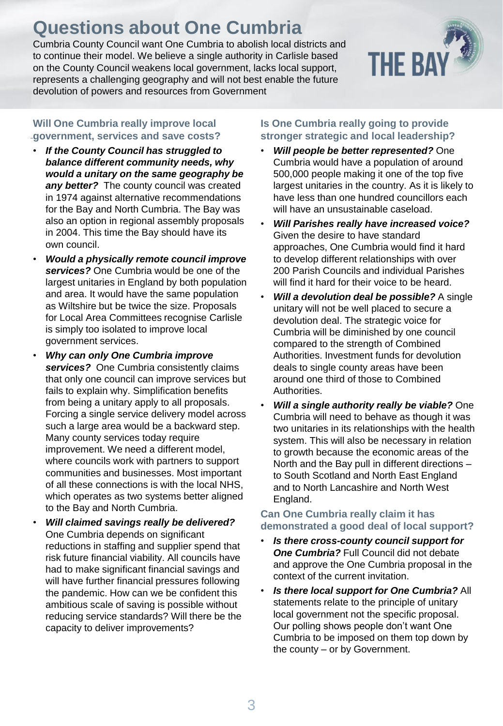# **Questions about One Cumbria**

Cumbria County Council want One Cumbria to abolish local districts and to continue their model. We believe a single authority in Carlisle based on the County Council weakens local government, lacks local support, represents a challenging geography and will not best enable the future devolution of powers and resources from Government

## **Will One Cumbria really improve local government, services and save costs?**

- *If the County Council has struggled to balance different community needs, why would a unitary on the same geography be any better?* The county council was created in 1974 against alternative recommendations for the Bay and North Cumbria. The Bay was also an option in regional assembly proposals in 2004. This time the Bay should have its own council.
- *Would a physically remote council improve services?* One Cumbria would be one of the largest unitaries in England by both population and area. It would have the same population as Wiltshire but be twice the size. Proposals for Local Area Committees recognise Carlisle is simply too isolated to improve local government services.
- *Why can only One Cumbria improve services?* One Cumbria consistently claims that only one council can improve services but fails to explain why. Simplification benefits from being a unitary apply to all proposals. Forcing a single service delivery model across such a large area would be a backward step. Many county services today require improvement. We need a different model, where councils work with partners to support communities and businesses. Most important of all these connections is with the local NHS, which operates as two systems better aligned to the Bay and North Cumbria.
- *Will claimed savings really be delivered?* One Cumbria depends on significant reductions in staffing and supplier spend that risk future financial viability. All councils have had to make significant financial savings and will have further financial pressures following the pandemic. How can we be confident this ambitious scale of saving is possible without reducing service standards? Will there be the capacity to deliver improvements?

#### **Is One Cumbria really going to provide stronger strategic and local leadership?**

- *Will people be better represented?* One Cumbria would have a population of around 500,000 people making it one of the top five largest unitaries in the country. As it is likely to have less than one hundred councillors each will have an unsustainable caseload.
- *Will Parishes really have increased voice?*  Given the desire to have standard approaches, One Cumbria would find it hard to develop different relationships with over 200 Parish Councils and individual Parishes will find it hard for their voice to be heard.
- *Will a devolution deal be possible?* A single unitary will not be well placed to secure a devolution deal. The strategic voice for Cumbria will be diminished by one council compared to the strength of Combined Authorities. Investment funds for devolution deals to single county areas have been around one third of those to Combined Authorities.
- *Will a single authority really be viable?* One Cumbria will need to behave as though it was two unitaries in its relationships with the health system. This will also be necessary in relation to growth because the economic areas of the North and the Bay pull in different directions – to South Scotland and North East England and to North Lancashire and North West England.

## **Can One Cumbria really claim it has demonstrated a good deal of local support?**

- *Is there cross-county council support for One Cumbria?* Full Council did not debate and approve the One Cumbria proposal in the context of the current invitation.
- *Is there local support for One Cumbria?* All statements relate to the principle of unitary local government not the specific proposal. Our polling shows people don't want One Cumbria to be imposed on them top down by the county – or by Government.